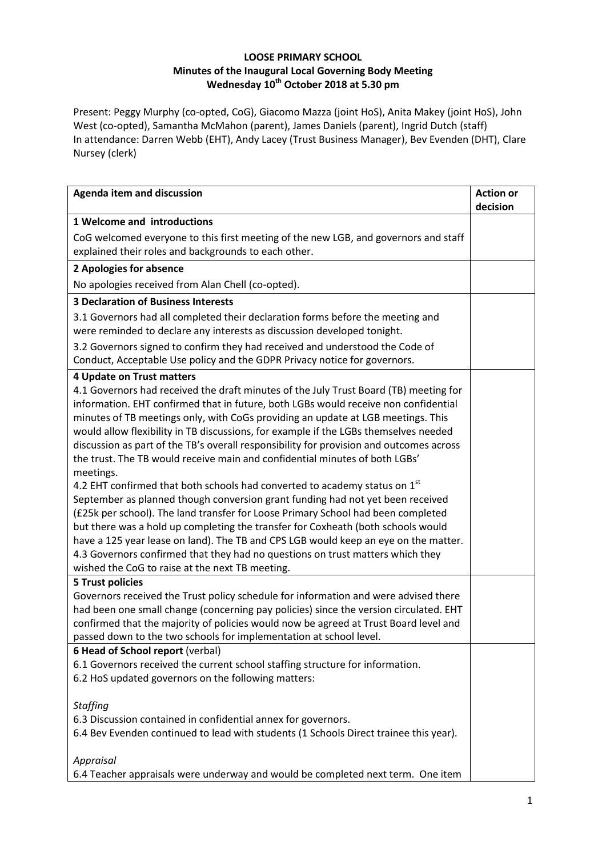## **LOOSE PRIMARY SCHOOL Minutes of the Inaugural Local Governing Body Meeting Wednesday 10th October 2018 at 5.30 pm**

Present: Peggy Murphy (co-opted, CoG), Giacomo Mazza (joint HoS), Anita Makey (joint HoS), John West (co-opted), Samantha McMahon (parent), James Daniels (parent), Ingrid Dutch (staff) In attendance: Darren Webb (EHT), Andy Lacey (Trust Business Manager), Bev Evenden (DHT), Clare Nursey (clerk)

| <b>Agenda item and discussion</b>                                                       | <b>Action or</b><br>decision |
|-----------------------------------------------------------------------------------------|------------------------------|
| 1 Welcome and introductions                                                             |                              |
| CoG welcomed everyone to this first meeting of the new LGB, and governors and staff     |                              |
| explained their roles and backgrounds to each other.                                    |                              |
| 2 Apologies for absence                                                                 |                              |
| No apologies received from Alan Chell (co-opted).                                       |                              |
| <b>3 Declaration of Business Interests</b>                                              |                              |
| 3.1 Governors had all completed their declaration forms before the meeting and          |                              |
| were reminded to declare any interests as discussion developed tonight.                 |                              |
| 3.2 Governors signed to confirm they had received and understood the Code of            |                              |
| Conduct, Acceptable Use policy and the GDPR Privacy notice for governors.               |                              |
| 4 Update on Trust matters                                                               |                              |
| 4.1 Governors had received the draft minutes of the July Trust Board (TB) meeting for   |                              |
| information. EHT confirmed that in future, both LGBs would receive non confidential     |                              |
| minutes of TB meetings only, with CoGs providing an update at LGB meetings. This        |                              |
| would allow flexibility in TB discussions, for example if the LGBs themselves needed    |                              |
| discussion as part of the TB's overall responsibility for provision and outcomes across |                              |
| the trust. The TB would receive main and confidential minutes of both LGBs'             |                              |
| meetings.                                                                               |                              |
| 4.2 EHT confirmed that both schools had converted to academy status on $1st$            |                              |
| September as planned though conversion grant funding had not yet been received          |                              |
| (£25k per school). The land transfer for Loose Primary School had been completed        |                              |
| but there was a hold up completing the transfer for Coxheath (both schools would        |                              |
| have a 125 year lease on land). The TB and CPS LGB would keep an eye on the matter.     |                              |
| 4.3 Governors confirmed that they had no questions on trust matters which they          |                              |
| wished the CoG to raise at the next TB meeting.                                         |                              |
| <b>5 Trust policies</b>                                                                 |                              |
| Governors received the Trust policy schedule for information and were advised there     |                              |
| had been one small change (concerning pay policies) since the version circulated. EHT   |                              |
| confirmed that the majority of policies would now be agreed at Trust Board level and    |                              |
| passed down to the two schools for implementation at school level.                      |                              |
| 6 Head of School report (verbal)                                                        |                              |
| 6.1 Governors received the current school staffing structure for information.           |                              |
| 6.2 HoS updated governors on the following matters:                                     |                              |
| <b>Staffing</b>                                                                         |                              |
| 6.3 Discussion contained in confidential annex for governors.                           |                              |
| 6.4 Bev Evenden continued to lead with students (1 Schools Direct trainee this year).   |                              |
|                                                                                         |                              |
| Appraisal                                                                               |                              |
| 6.4 Teacher appraisals were underway and would be completed next term. One item         |                              |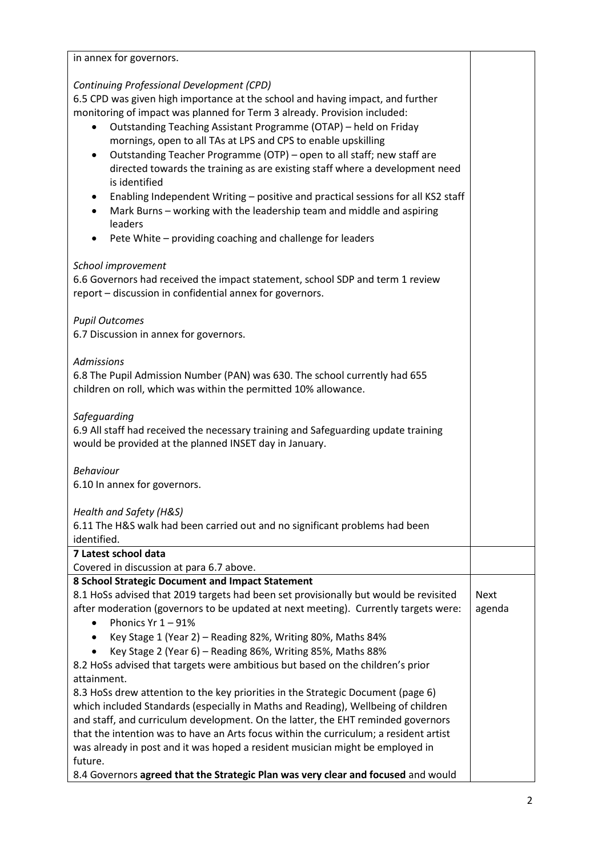| in annex for governors.                                                                                                                                                                                                                                                                                                                                                                                                                                                                                                                                                                                                                                                                                                                                                                |                       |
|----------------------------------------------------------------------------------------------------------------------------------------------------------------------------------------------------------------------------------------------------------------------------------------------------------------------------------------------------------------------------------------------------------------------------------------------------------------------------------------------------------------------------------------------------------------------------------------------------------------------------------------------------------------------------------------------------------------------------------------------------------------------------------------|-----------------------|
| Continuing Professional Development (CPD)<br>6.5 CPD was given high importance at the school and having impact, and further<br>monitoring of impact was planned for Term 3 already. Provision included:<br>Outstanding Teaching Assistant Programme (OTAP) - held on Friday<br>mornings, open to all TAs at LPS and CPS to enable upskilling<br>Outstanding Teacher Programme (OTP) - open to all staff; new staff are<br>$\bullet$<br>directed towards the training as are existing staff where a development need<br>is identified<br>Enabling Independent Writing - positive and practical sessions for all KS2 staff<br>$\bullet$<br>Mark Burns - working with the leadership team and middle and aspiring<br>leaders<br>Pete White - providing coaching and challenge for leaders |                       |
| School improvement<br>6.6 Governors had received the impact statement, school SDP and term 1 review<br>report - discussion in confidential annex for governors.                                                                                                                                                                                                                                                                                                                                                                                                                                                                                                                                                                                                                        |                       |
| <b>Pupil Outcomes</b><br>6.7 Discussion in annex for governors.                                                                                                                                                                                                                                                                                                                                                                                                                                                                                                                                                                                                                                                                                                                        |                       |
| <b>Admissions</b><br>6.8 The Pupil Admission Number (PAN) was 630. The school currently had 655<br>children on roll, which was within the permitted 10% allowance.                                                                                                                                                                                                                                                                                                                                                                                                                                                                                                                                                                                                                     |                       |
| Safeguarding<br>6.9 All staff had received the necessary training and Safeguarding update training<br>would be provided at the planned INSET day in January.                                                                                                                                                                                                                                                                                                                                                                                                                                                                                                                                                                                                                           |                       |
| <b>Behaviour</b><br>6.10 In annex for governors.                                                                                                                                                                                                                                                                                                                                                                                                                                                                                                                                                                                                                                                                                                                                       |                       |
| Health and Safety (H&S)<br>6.11 The H&S walk had been carried out and no significant problems had been<br>identified.                                                                                                                                                                                                                                                                                                                                                                                                                                                                                                                                                                                                                                                                  |                       |
| 7 Latest school data<br>Covered in discussion at para 6.7 above.                                                                                                                                                                                                                                                                                                                                                                                                                                                                                                                                                                                                                                                                                                                       |                       |
| 8 School Strategic Document and Impact Statement<br>8.1 HoSs advised that 2019 targets had been set provisionally but would be revisited<br>after moderation (governors to be updated at next meeting). Currently targets were:<br>Phonics $Yr 1 - 91%$<br>Key Stage 1 (Year 2) - Reading 82%, Writing 80%, Maths 84%<br>$\bullet$                                                                                                                                                                                                                                                                                                                                                                                                                                                     | <b>Next</b><br>agenda |
| Key Stage 2 (Year 6) - Reading 86%, Writing 85%, Maths 88%<br>8.2 HoSs advised that targets were ambitious but based on the children's prior<br>attainment.<br>8.3 HoSs drew attention to the key priorities in the Strategic Document (page 6)<br>which included Standards (especially in Maths and Reading), Wellbeing of children<br>and staff, and curriculum development. On the latter, the EHT reminded governors                                                                                                                                                                                                                                                                                                                                                               |                       |
| that the intention was to have an Arts focus within the curriculum; a resident artist<br>was already in post and it was hoped a resident musician might be employed in<br>future.<br>8.4 Governors agreed that the Strategic Plan was very clear and focused and would                                                                                                                                                                                                                                                                                                                                                                                                                                                                                                                 |                       |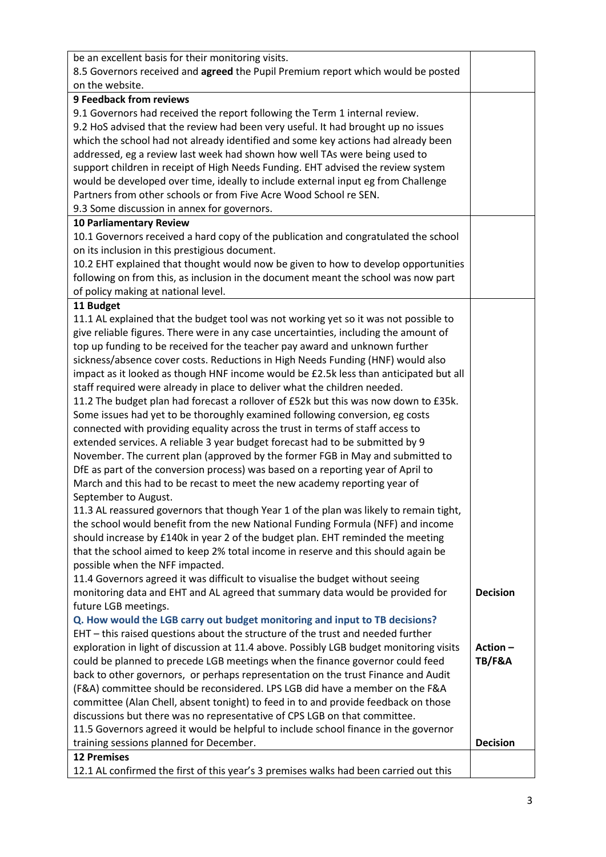| be an excellent basis for their monitoring visits.                                      |                   |
|-----------------------------------------------------------------------------------------|-------------------|
| 8.5 Governors received and agreed the Pupil Premium report which would be posted        |                   |
| on the website.                                                                         |                   |
| <b>9 Feedback from reviews</b>                                                          |                   |
| 9.1 Governors had received the report following the Term 1 internal review.             |                   |
| 9.2 HoS advised that the review had been very useful. It had brought up no issues       |                   |
| which the school had not already identified and some key actions had already been       |                   |
| addressed, eg a review last week had shown how well TAs were being used to              |                   |
| support children in receipt of High Needs Funding. EHT advised the review system        |                   |
| would be developed over time, ideally to include external input eg from Challenge       |                   |
| Partners from other schools or from Five Acre Wood School re SEN.                       |                   |
| 9.3 Some discussion in annex for governors.                                             |                   |
| <b>10 Parliamentary Review</b>                                                          |                   |
| 10.1 Governors received a hard copy of the publication and congratulated the school     |                   |
| on its inclusion in this prestigious document.                                          |                   |
| 10.2 EHT explained that thought would now be given to how to develop opportunities      |                   |
| following on from this, as inclusion in the document meant the school was now part      |                   |
| of policy making at national level.                                                     |                   |
| 11 Budget                                                                               |                   |
| 11.1 AL explained that the budget tool was not working yet so it was not possible to    |                   |
| give reliable figures. There were in any case uncertainties, including the amount of    |                   |
| top up funding to be received for the teacher pay award and unknown further             |                   |
| sickness/absence cover costs. Reductions in High Needs Funding (HNF) would also         |                   |
| impact as it looked as though HNF income would be £2.5k less than anticipated but all   |                   |
| staff required were already in place to deliver what the children needed.               |                   |
| 11.2 The budget plan had forecast a rollover of £52k but this was now down to £35k.     |                   |
| Some issues had yet to be thoroughly examined following conversion, eg costs            |                   |
| connected with providing equality across the trust in terms of staff access to          |                   |
| extended services. A reliable 3 year budget forecast had to be submitted by 9           |                   |
| November. The current plan (approved by the former FGB in May and submitted to          |                   |
| DfE as part of the conversion process) was based on a reporting year of April to        |                   |
| March and this had to be recast to meet the new academy reporting year of               |                   |
| September to August.                                                                    |                   |
| 11.3 AL reassured governors that though Year 1 of the plan was likely to remain tight,  |                   |
| the school would benefit from the new National Funding Formula (NFF) and income         |                   |
| should increase by £140k in year 2 of the budget plan. EHT reminded the meeting         |                   |
| that the school aimed to keep 2% total income in reserve and this should again be       |                   |
| possible when the NFF impacted.                                                         |                   |
| 11.4 Governors agreed it was difficult to visualise the budget without seeing           |                   |
| monitoring data and EHT and AL agreed that summary data would be provided for           | <b>Decision</b>   |
| future LGB meetings.                                                                    |                   |
| Q. How would the LGB carry out budget monitoring and input to TB decisions?             |                   |
| EHT - this raised questions about the structure of the trust and needed further         |                   |
| exploration in light of discussion at 11.4 above. Possibly LGB budget monitoring visits | Action-           |
| could be planned to precede LGB meetings when the finance governor could feed           | <b>TB/F&amp;A</b> |
| back to other governors, or perhaps representation on the trust Finance and Audit       |                   |
| (F&A) committee should be reconsidered. LPS LGB did have a member on the F&A            |                   |
| committee (Alan Chell, absent tonight) to feed in to and provide feedback on those      |                   |
| discussions but there was no representative of CPS LGB on that committee.               |                   |
| 11.5 Governors agreed it would be helpful to include school finance in the governor     |                   |
| training sessions planned for December.                                                 | <b>Decision</b>   |
| <b>12 Premises</b>                                                                      |                   |
| 12.1 AL confirmed the first of this year's 3 premises walks had been carried out this   |                   |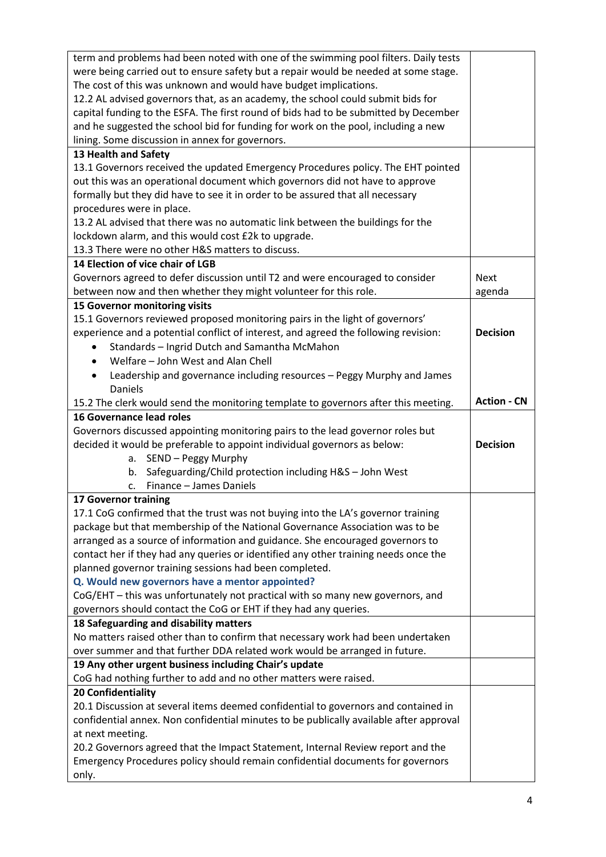| term and problems had been noted with one of the swimming pool filters. Daily tests                                                                               |                    |
|-------------------------------------------------------------------------------------------------------------------------------------------------------------------|--------------------|
| were being carried out to ensure safety but a repair would be needed at some stage.                                                                               |                    |
| The cost of this was unknown and would have budget implications.                                                                                                  |                    |
| 12.2 AL advised governors that, as an academy, the school could submit bids for                                                                                   |                    |
| capital funding to the ESFA. The first round of bids had to be submitted by December                                                                              |                    |
| and he suggested the school bid for funding for work on the pool, including a new                                                                                 |                    |
| lining. Some discussion in annex for governors.                                                                                                                   |                    |
| 13 Health and Safety                                                                                                                                              |                    |
| 13.1 Governors received the updated Emergency Procedures policy. The EHT pointed                                                                                  |                    |
| out this was an operational document which governors did not have to approve                                                                                      |                    |
| formally but they did have to see it in order to be assured that all necessary                                                                                    |                    |
| procedures were in place.                                                                                                                                         |                    |
| 13.2 AL advised that there was no automatic link between the buildings for the                                                                                    |                    |
| lockdown alarm, and this would cost £2k to upgrade.                                                                                                               |                    |
| 13.3 There were no other H&S matters to discuss.                                                                                                                  |                    |
| 14 Election of vice chair of LGB                                                                                                                                  |                    |
| Governors agreed to defer discussion until T2 and were encouraged to consider                                                                                     | <b>Next</b>        |
| between now and then whether they might volunteer for this role.                                                                                                  |                    |
|                                                                                                                                                                   | agenda             |
| 15 Governor monitoring visits                                                                                                                                     |                    |
| 15.1 Governors reviewed proposed monitoring pairs in the light of governors'                                                                                      |                    |
| experience and a potential conflict of interest, and agreed the following revision:                                                                               | <b>Decision</b>    |
| Standards - Ingrid Dutch and Samantha McMahon                                                                                                                     |                    |
| Welfare - John West and Alan Chell<br>$\bullet$                                                                                                                   |                    |
| Leadership and governance including resources - Peggy Murphy and James<br>$\bullet$                                                                               |                    |
| Daniels                                                                                                                                                           |                    |
| 15.2 The clerk would send the monitoring template to governors after this meeting.                                                                                | <b>Action - CN</b> |
|                                                                                                                                                                   |                    |
| <b>16 Governance lead roles</b>                                                                                                                                   |                    |
| Governors discussed appointing monitoring pairs to the lead governor roles but                                                                                    |                    |
| decided it would be preferable to appoint individual governors as below:                                                                                          | <b>Decision</b>    |
| a. SEND - Peggy Murphy                                                                                                                                            |                    |
| Safeguarding/Child protection including H&S - John West<br>b.                                                                                                     |                    |
| Finance - James Daniels<br>c.                                                                                                                                     |                    |
| 17 Governor training                                                                                                                                              |                    |
| 17.1 CoG confirmed that the trust was not buying into the LA's governor training                                                                                  |                    |
| package but that membership of the National Governance Association was to be                                                                                      |                    |
| arranged as a source of information and guidance. She encouraged governors to                                                                                     |                    |
| contact her if they had any queries or identified any other training needs once the                                                                               |                    |
| planned governor training sessions had been completed.                                                                                                            |                    |
| Q. Would new governors have a mentor appointed?                                                                                                                   |                    |
| CoG/EHT - this was unfortunately not practical with so many new governors, and                                                                                    |                    |
| governors should contact the CoG or EHT if they had any queries.                                                                                                  |                    |
| 18 Safeguarding and disability matters                                                                                                                            |                    |
|                                                                                                                                                                   |                    |
| No matters raised other than to confirm that necessary work had been undertaken                                                                                   |                    |
| over summer and that further DDA related work would be arranged in future.                                                                                        |                    |
| 19 Any other urgent business including Chair's update                                                                                                             |                    |
| CoG had nothing further to add and no other matters were raised.                                                                                                  |                    |
| 20 Confidentiality                                                                                                                                                |                    |
| 20.1 Discussion at several items deemed confidential to governors and contained in                                                                                |                    |
| confidential annex. Non confidential minutes to be publically available after approval                                                                            |                    |
| at next meeting.                                                                                                                                                  |                    |
| 20.2 Governors agreed that the Impact Statement, Internal Review report and the<br>Emergency Procedures policy should remain confidential documents for governors |                    |